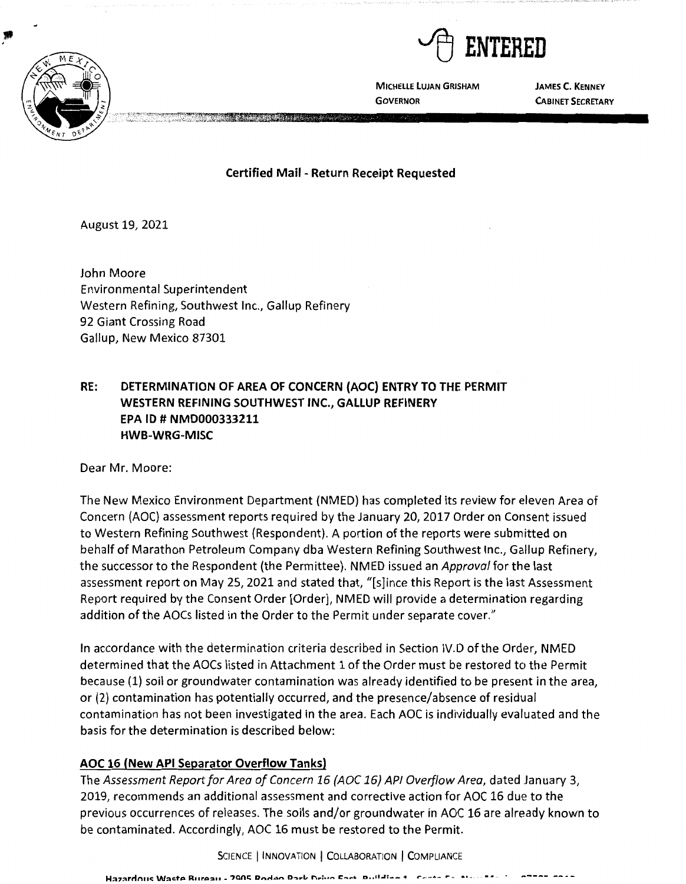

.

**MICHELLE LUJAN GRISHAM GOVERNOR** 

**JAMES C. KENNEY CABINET SECRETARY** 

**Certified Mail - Return Receipt Requested** 

August 19, 2021

John Moore Environmental Superintendent Western Refining, Southwest Inc., Gallup Refinery 92 Giant Crossing Road Gallup, New Mexico 87301

# **RE: DETERMINATION OF AREA OF CONCERN {AOC) ENTRY TO THE PERMIT WESTERN REFINING SOUTHWEST INC., GALLUP REFINERY EPA ID# NMD000333211 HWB-WRG-MISC**

Dear Mr. Moore:

The New Mexico Environment Department (NMED) has completed its review for eleven Area of Concern (AOC) assessment reports required by the January 20, 2017 Order on Consent issued to Western Refining Southwest (Respondent). A portion of the reports were submitted on behalf of Marathon Petroleum Company dba Western Refining Southwest Inc., Gallup Refinery, the successor to the Respondent (the Permittee). NMED issued an Approval for the last assessment report on May 25, 2021 and stated that, "[s]ince this Report is the last Assessment Report required by the Consent Order [Order], NMED will provide a determination regarding addition of the AOCs listed in the Order to the Permit under separate cover."

In accordance with the determination criteria described in Section IV.D of the Order, NMED determined that the AOCs listed in Attachment 1 of the Order must be restored to the Permit because (1) soil or groundwater contamination was already identified to be present in the area, or (2) contamination has potentially occurred, and the presence/absence of residual contamination has not been investigated in the area. Each AOC is individually evaluated and the basis for the determination is described below:

# **AOC 16 (New API Separator Overflow Tanks}**

The Assessment Report for Area of Concern 16 (AOC 16) API Overflow Area, dated January 3, 2019, recommends an additional assessment and corrective action for AOC 16 due to the previous occurrences of releases. The soils and/or groundwater in AOC 16 are already known to be contaminated. Accordingly, AOC 16 must be restored to the Permit.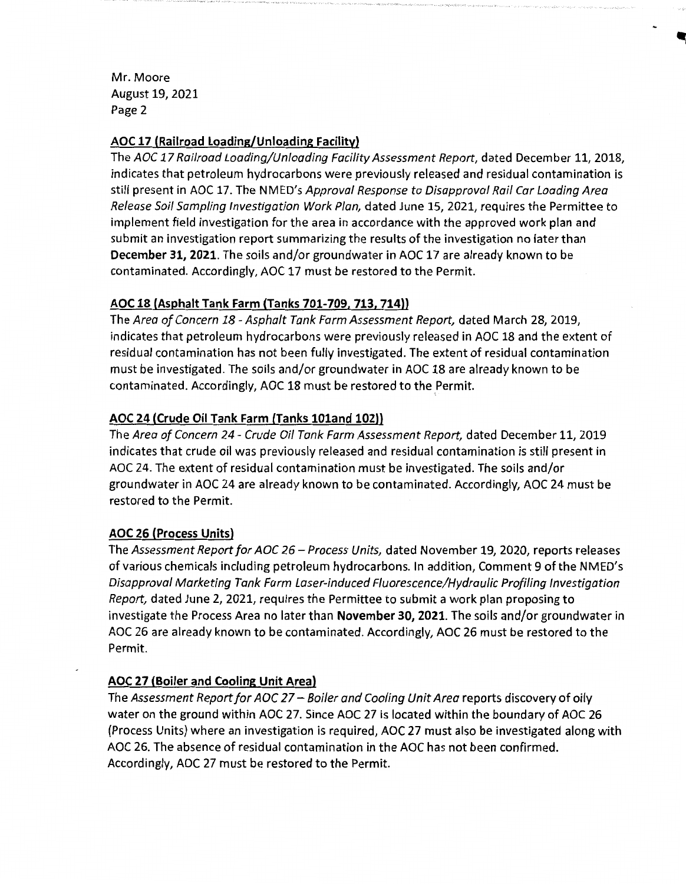Mr. Moore August 19, 2021 Page 2

### **AOC 17 (Railroad Loading/Unloading Facility)**

The AOC 17 Railroad Loading/Unloading Facility Assessment Report, dated December 11, 2018, indicates that petroleum hydrocarbons were previously released and residual contamination is still present in AOC 17. The NMED's Approval Response to Disapproval Rail Car Loading Area Release Soil Sampling Investigation Work Plan, dated June 15, 2021, requires the Permittee to implement field investigation for the area in accordance with the approved work plan and submit an investigation report summarizing the results of the investigation no later than **December 31, 2021.** The soils and/or groundwater in AOC 17 are already known to be contaminated. Accordingly, AOC 17 must be restored to the Permit.

## **AOC 18 (Asphalt Tank Farm (Tanks 701-709, 713, 714))**

The Area of Concern 18 - Asphalt Tank Farm Assessment Report, dated March 28, 2019, indicates that petroleum hydrocarbons were previously released in AOC 18 and the extent of residual contamination has not been fully investigated. The extent of residual contamination must be investigated. The soils and/or groundwater in AOC 18 are already known to be contaminated. Accordingly, AOC 18 must be restored to the Permit.

# **AOC 24 (Crude Oil Tank Farm (Tanks l0land 102))**

The Area of Concern 24 - Crude Oil Tank Farm Assessment Report, dated December 11, 2019 indicates that crude oil was previously released and residual contamination is still present in AOC 24. The extent of residual contamination must be investigated. The soils and/or groundwater in AOC 24 are already known to be contaminated. Accordingly, AOC 24 must be restored to the Permit.

### **AOC 26 (Process Units)**

The Assessment Report for AOC 26 - Process Units, dated November 19, 2020, reports releases of various chemicals including petroleum hydrocarbons. In addition, Comment 9 ofthe NMED's Disapproval Marketing Tank Farm Laser-induced Fluorescence/Hydraulic Profiling Investigation Report, dated June 2, 2021, requires the Permittee to submit a work plan proposing to investigate the Process Area no later than **November 30, 2021.** The soils and/or groundwater in AOC 26 are already known to be contaminated. Accordingly, AOC 26 must be restored to the Permit.

# **AOC 27 (Boiler and Cooling Unit Area)**

The Assessment Report for AOC 27 – Boiler and Cooling Unit Area reports discovery of oily water on the ground within AOC 27. Since AOC 27 is located within the boundary of AOC 26 (Process Units) where an investigation is required, AOC 27 must also be investigated along with AOC 26. The absence of residual contamination in the AOC has not been confirmed. Accordingly, AOC 27 must be restored to the Permit.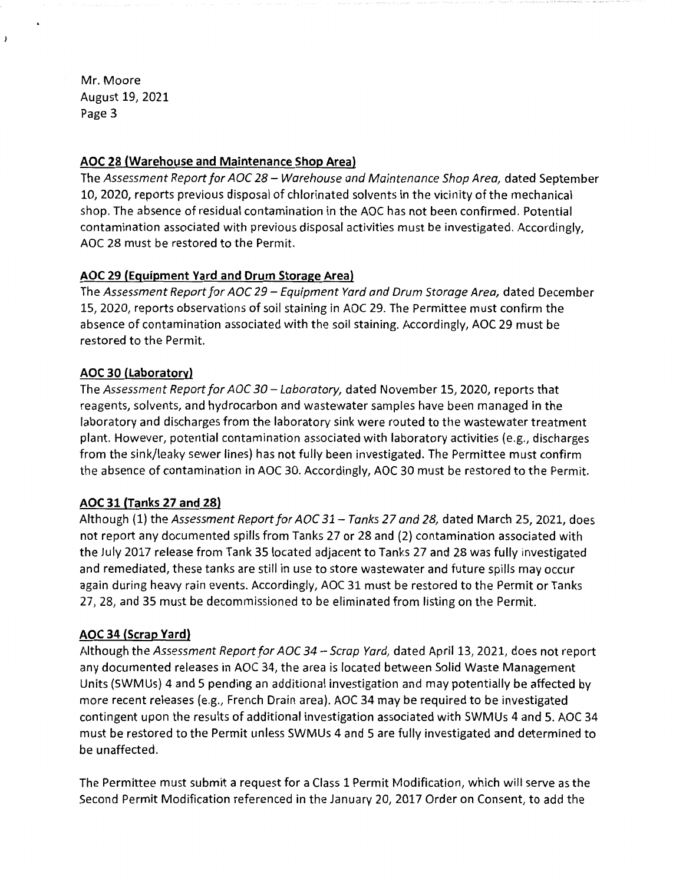Mr. Moore August 19, 2021 Page 3

 $\lambda$ 

### **AOC 28 (Warehouse and Maintenance Shop Area)**

The Assessment Report for AOC 28 - Warehouse and Maintenance Shop Area, dated September 10, 2020, reports previous disposal of chlorinated solvents in the vicinity of the mechanical shop. The absence of residual contamination in the AOC has not been confirmed. Potential contamination associated with previous disposal activities must be investigated. Accordingly, AOC 28 must be restored to the Permit.

## **AOC 29 (Equipment Yard and Drum Storage Area)**

The Assessment Report for AOC 29 - Equipment Yard and Drum Storage Area, dated December 15, 2020, reports observations of soil staining in AOC 29. The Permittee must confirm the absence of contamination associated with the soil staining. Accordingly, AOC 29 must be restored to the Permit.

## **AOC 30 (Laboratory)**

The Assessment Report for AOC 30 - Laboratory, dated November 15, 2020, reports that reagents, solvents, and hydrocarbon and wastewater samples have been managed in the laboratory and discharges from the laboratory sink were routed to the wastewater treatment plant. However, potential contamination associated with laboratory activities (e.g., discharges from the sink/leaky sewer lines} has not fully been investigated. The Permittee must confirm the absence of contamination in AOC 30. Accordingly, AOC 30 must be restored to the Permit.

### **AOC 31 (Tanks 27 and 28)**

Although (1) the Assessment Report for AOC 31 - Tanks 27 and 28, dated March 25, 2021, does not report any documented spills from Tanks 27 or 28 and (2) contamination associated with the July 2017 release from Tank 35 located adjacent to Tanks 27 and 28 was fully investigated and remediated, these tanks are still in use to store wastewater and future spills may occur again during heavy rain events. Accordingly, AOC 31 must be restored to the Permit or Tanks 27, 28, and 35 must be decommissioned to be eliminated from listing on the Permit.

### **AOC 34 (Scrap Yard)**

Although the Assessment Report for AOC 34 - Scrap Yard, dated April 13, 2021, does not report any documented releases in AOC 34, the area is located between Solid Waste Management Units (SWMUs} 4 and 5 pending an additional investigation and may potentially be affected by more recent releases (e.g., French Drain area}. AOC 34 may be required to be investigated contingent upon the results of additional investigation associated with SWMUs 4 and 5. AOC 34 must be restored to the Permit unless SWMUs 4 and 5 are fully investigated and determined to be unaffected.

The Permittee must submit a request for a Class 1 Permit Modification, which will serve as the Second Permit Modification referenced in the January 20, 2017 Order on Consent, to add the